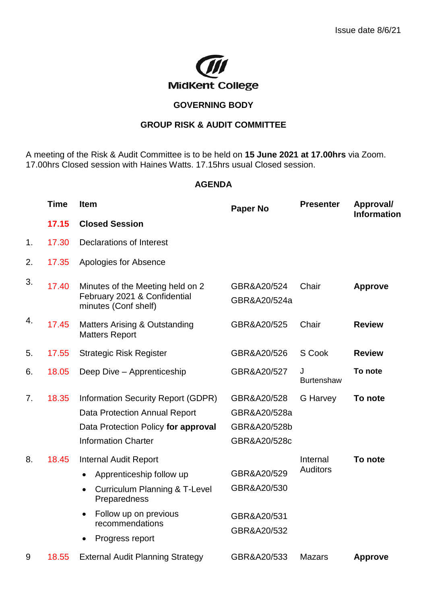

## **GOVERNING BODY**

## **GROUP RISK & AUDIT COMMITTEE**

A meeting of the Risk & Audit Committee is to be held on **15 June 2021 at 17.00hrs** via Zoom. 17.00hrs Closed session with Haines Watts. 17.15hrs usual Closed session.

## **AGENDA**

|    | <b>Time</b> | <b>Item</b>                                                                              | <b>Paper No</b>            | <b>Presenter</b>            | Approval/<br><b>Information</b> |
|----|-------------|------------------------------------------------------------------------------------------|----------------------------|-----------------------------|---------------------------------|
|    | 17.15       | <b>Closed Session</b>                                                                    |                            |                             |                                 |
| 1. | 17.30       | <b>Declarations of Interest</b>                                                          |                            |                             |                                 |
| 2. | 17.35       | Apologies for Absence                                                                    |                            |                             |                                 |
| 3. | 17.40       | Minutes of the Meeting held on 2<br>February 2021 & Confidential<br>minutes (Conf shelf) | GBR&A20/524                | Chair                       | <b>Approve</b>                  |
|    |             |                                                                                          | GBR&A20/524a               |                             |                                 |
| 4. | 17.45       | <b>Matters Arising &amp; Outstanding</b><br><b>Matters Report</b>                        | GBR&A20/525                | Chair                       | <b>Review</b>                   |
| 5. | 17.55       | <b>Strategic Risk Register</b>                                                           | GBR&A20/526                | S Cook                      | <b>Review</b>                   |
| 6. | 18.05       | Deep Dive - Apprenticeship                                                               | GBR&A20/527                | J<br><b>Burtenshaw</b>      | To note                         |
| 7. | 18.35       | Information Security Report (GDPR)                                                       | GBR&A20/528                | G Harvey                    | To note                         |
|    |             | Data Protection Annual Report                                                            | GBR&A20/528a               |                             |                                 |
|    |             | Data Protection Policy for approval                                                      | GBR&A20/528b               |                             |                                 |
|    |             | <b>Information Charter</b>                                                               | GBR&A20/528c               |                             |                                 |
| 8. | 18.45       | <b>Internal Audit Report</b>                                                             |                            | Internal<br><b>Auditors</b> | To note                         |
|    |             | Apprenticeship follow up                                                                 | GBR&A20/529                |                             |                                 |
|    |             | <b>Curriculum Planning &amp; T-Level</b><br>$\bullet$<br>Preparedness                    | GBR&A20/530                |                             |                                 |
|    |             | Follow up on previous<br>$\bullet$<br>recommendations                                    | GBR&A20/531<br>GBR&A20/532 |                             |                                 |
|    |             | Progress report                                                                          |                            |                             |                                 |
| 9  | 18.55       | <b>External Audit Planning Strategy</b>                                                  | GBR&A20/533                | <b>Mazars</b>               | <b>Approve</b>                  |